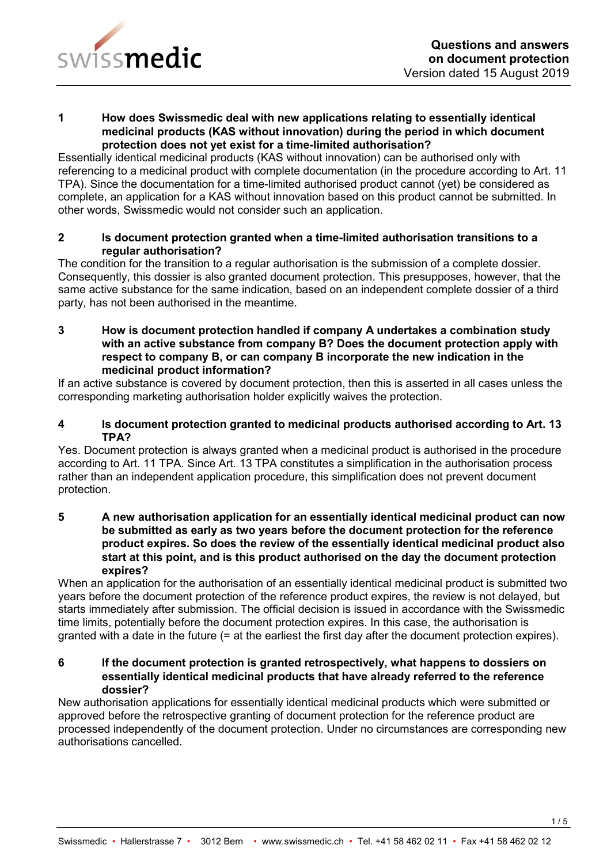

#### **1 How does Swissmedic deal with new applications relating to essentially identical medicinal products (KAS without innovation) during the period in which document protection does not yet exist for a time-limited authorisation?**

Essentially identical medicinal products (KAS without innovation) can be authorised only with referencing to a medicinal product with complete documentation (in the procedure according to Art. 11 TPA). Since the documentation for a time-limited authorised product cannot (yet) be considered as complete, an application for a KAS without innovation based on this product cannot be submitted. In other words, Swissmedic would not consider such an application.

## **2 Is document protection granted when a time-limited authorisation transitions to a regular authorisation?**

The condition for the transition to a regular authorisation is the submission of a complete dossier. Consequently, this dossier is also granted document protection. This presupposes, however, that the same active substance for the same indication, based on an independent complete dossier of a third party, has not been authorised in the meantime.

**3 How is document protection handled if company A undertakes a combination study with an active substance from company B? Does the document protection apply with respect to company B, or can company B incorporate the new indication in the medicinal product information?**

If an active substance is covered by document protection, then this is asserted in all cases unless the corresponding marketing authorisation holder explicitly waives the protection.

## **4 Is document protection granted to medicinal products authorised according to Art. 13 TPA?**

Yes. Document protection is always granted when a medicinal product is authorised in the procedure according to Art. 11 TPA. Since Art. 13 TPA constitutes a simplification in the authorisation process rather than an independent application procedure, this simplification does not prevent document protection.

**5 A new authorisation application for an essentially identical medicinal product can now be submitted as early as two years before the document protection for the reference product expires. So does the review of the essentially identical medicinal product also start at this point, and is this product authorised on the day the document protection expires?**

When an application for the authorisation of an essentially identical medicinal product is submitted two years before the document protection of the reference product expires, the review is not delayed, but starts immediately after submission. The official decision is issued in accordance with the Swissmedic time limits, potentially before the document protection expires. In this case, the authorisation is granted with a date in the future (= at the earliest the first day after the document protection expires).

## **6 If the document protection is granted retrospectively, what happens to dossiers on essentially identical medicinal products that have already referred to the reference dossier?**

New authorisation applications for essentially identical medicinal products which were submitted or approved before the retrospective granting of document protection for the reference product are processed independently of the document protection. Under no circumstances are corresponding new authorisations cancelled.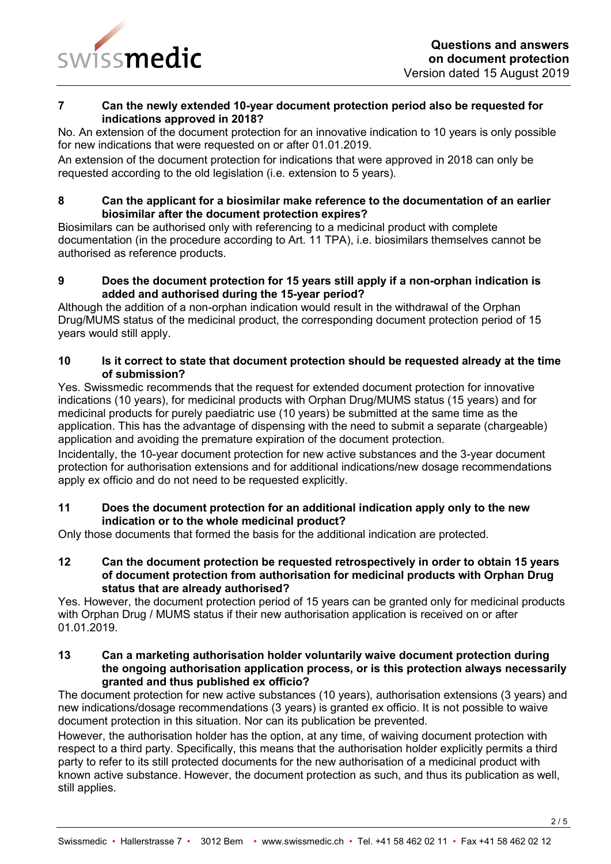

## **7 Can the newly extended 10-year document protection period also be requested for indications approved in 2018?**

No. An extension of the document protection for an innovative indication to 10 years is only possible for new indications that were requested on or after 01.01.2019.

An extension of the document protection for indications that were approved in 2018 can only be requested according to the old legislation (i.e. extension to 5 years).

## **8 Can the applicant for a biosimilar make reference to the documentation of an earlier biosimilar after the document protection expires?**

Biosimilars can be authorised only with referencing to a medicinal product with complete documentation (in the procedure according to Art. 11 TPA), i.e. biosimilars themselves cannot be authorised as reference products.

# **9 Does the document protection for 15 years still apply if a non-orphan indication is added and authorised during the 15-year period?**

Although the addition of a non-orphan indication would result in the withdrawal of the Orphan Drug/MUMS status of the medicinal product, the corresponding document protection period of 15 years would still apply.

## **10 Is it correct to state that document protection should be requested already at the time of submission?**

Yes. Swissmedic recommends that the request for extended document protection for innovative indications (10 years), for medicinal products with Orphan Drug/MUMS status (15 years) and for medicinal products for purely paediatric use (10 years) be submitted at the same time as the application. This has the advantage of dispensing with the need to submit a separate (chargeable) application and avoiding the premature expiration of the document protection.

Incidentally, the 10-year document protection for new active substances and the 3-year document protection for authorisation extensions and for additional indications/new dosage recommendations apply ex officio and do not need to be requested explicitly.

## **11 Does the document protection for an additional indication apply only to the new indication or to the whole medicinal product?**

Only those documents that formed the basis for the additional indication are protected.

**12 Can the document protection be requested retrospectively in order to obtain 15 years of document protection from authorisation for medicinal products with Orphan Drug status that are already authorised?**

Yes. However, the document protection period of 15 years can be granted only for medicinal products with Orphan Drug / MUMS status if their new authorisation application is received on or after 01.01.2019.

#### **13 Can a marketing authorisation holder voluntarily waive document protection during the ongoing authorisation application process, or is this protection always necessarily granted and thus published ex officio?**

The document protection for new active substances (10 years), authorisation extensions (3 years) and new indications/dosage recommendations (3 years) is granted ex officio. It is not possible to waive document protection in this situation. Nor can its publication be prevented.

However, the authorisation holder has the option, at any time, of waiving document protection with respect to a third party. Specifically, this means that the authorisation holder explicitly permits a third party to refer to its still protected documents for the new authorisation of a medicinal product with known active substance. However, the document protection as such, and thus its publication as well, still applies.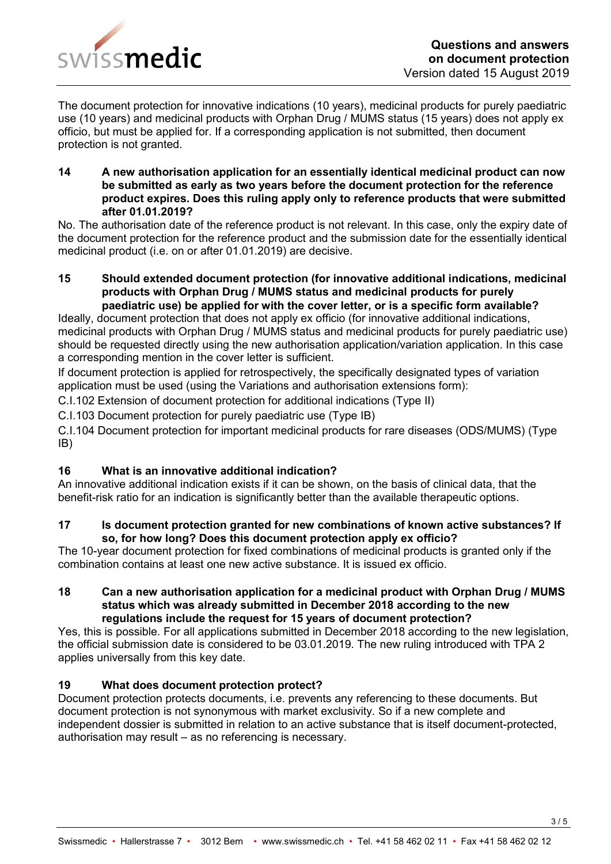

The document protection for innovative indications (10 years), medicinal products for purely paediatric use (10 years) and medicinal products with Orphan Drug / MUMS status (15 years) does not apply ex officio, but must be applied for. If a corresponding application is not submitted, then document protection is not granted.

**14 A new authorisation application for an essentially identical medicinal product can now be submitted as early as two years before the document protection for the reference product expires. Does this ruling apply only to reference products that were submitted after 01.01.2019?**

No. The authorisation date of the reference product is not relevant. In this case, only the expiry date of the document protection for the reference product and the submission date for the essentially identical medicinal product (i.e. on or after 01.01.2019) are decisive.

**15 Should extended document protection (for innovative additional indications, medicinal products with Orphan Drug / MUMS status and medicinal products for purely paediatric use) be applied for with the cover letter, or is a specific form available?**

Ideally, document protection that does not apply ex officio (for innovative additional indications, medicinal products with Orphan Drug / MUMS status and medicinal products for purely paediatric use) should be requested directly using the new authorisation application/variation application. In this case a corresponding mention in the cover letter is sufficient.

If document protection is applied for retrospectively, the specifically designated types of variation application must be used (using the Variations and authorisation extensions form):

C.I.102 Extension of document protection for additional indications (Type II)

C.I.103 Document protection for purely paediatric use (Type IB)

C.I.104 Document protection for important medicinal products for rare diseases (ODS/MUMS) (Type IB)

# **16 What is an innovative additional indication?**

An innovative additional indication exists if it can be shown, on the basis of clinical data, that the benefit-risk ratio for an indication is significantly better than the available therapeutic options.

## **17 Is document protection granted for new combinations of known active substances? If so, for how long? Does this document protection apply ex officio?**

The 10-year document protection for fixed combinations of medicinal products is granted only if the combination contains at least one new active substance. It is issued ex officio.

#### **18 Can a new authorisation application for a medicinal product with Orphan Drug / MUMS status which was already submitted in December 2018 according to the new regulations include the request for 15 years of document protection?**

Yes, this is possible. For all applications submitted in December 2018 according to the new legislation, the official submission date is considered to be 03.01.2019. The new ruling introduced with TPA 2 applies universally from this key date.

## **19 What does document protection protect?**

Document protection protects documents, i.e. prevents any referencing to these documents. But document protection is not synonymous with market exclusivity. So if a new complete and independent dossier is submitted in relation to an active substance that is itself document-protected, authorisation may result – as no referencing is necessary.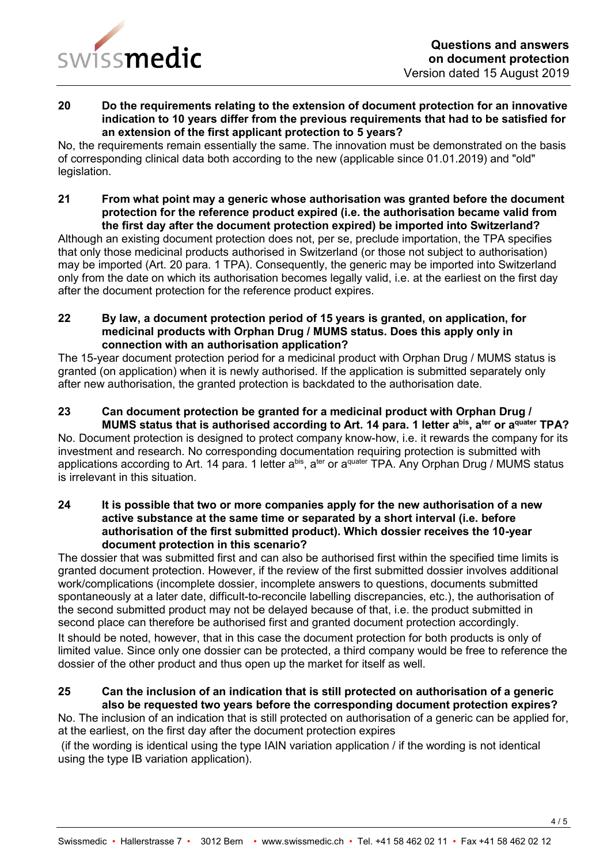

#### **20 Do the requirements relating to the extension of document protection for an innovative indication to 10 years differ from the previous requirements that had to be satisfied for an extension of the first applicant protection to 5 years?**

No, the requirements remain essentially the same. The innovation must be demonstrated on the basis of corresponding clinical data both according to the new (applicable since 01.01.2019) and "old" legislation.

#### **21 From what point may a generic whose authorisation was granted before the document protection for the reference product expired (i.e. the authorisation became valid from the first day after the document protection expired) be imported into Switzerland?**

Although an existing document protection does not, per se, preclude importation, the TPA specifies that only those medicinal products authorised in Switzerland (or those not subject to authorisation) may be imported (Art. 20 para. 1 TPA). Consequently, the generic may be imported into Switzerland only from the date on which its authorisation becomes legally valid, i.e. at the earliest on the first day after the document protection for the reference product expires.

#### **22 By law, a document protection period of 15 years is granted, on application, for medicinal products with Orphan Drug / MUMS status. Does this apply only in connection with an authorisation application?**

The 15-year document protection period for a medicinal product with Orphan Drug / MUMS status is granted (on application) when it is newly authorised. If the application is submitted separately only after new authorisation, the granted protection is backdated to the authorisation date.

# **23 Can document protection be granted for a medicinal product with Orphan Drug / MUMS status that is authorised according to Art. 14 para. 1 letter a bis , a ter or a quater TPA?**

No. Document protection is designed to protect company know-how, i.e. it rewards the company for its investment and research. No corresponding documentation requiring protection is submitted with applications according to Art. 14 para. 1 letter a<sup>bis</sup>, a<sup>ter</sup> or a<sup>quater</sup> TPA. Any Orphan Drug / MUMS status is irrelevant in this situation.

#### **24 It is possible that two or more companies apply for the new authorisation of a new active substance at the same time or separated by a short interval (i.e. before authorisation of the first submitted product). Which dossier receives the 10-year document protection in this scenario?**

The dossier that was submitted first and can also be authorised first within the specified time limits is granted document protection. However, if the review of the first submitted dossier involves additional work/complications (incomplete dossier, incomplete answers to questions, documents submitted spontaneously at a later date, difficult-to-reconcile labelling discrepancies, etc.), the authorisation of the second submitted product may not be delayed because of that, i.e. the product submitted in second place can therefore be authorised first and granted document protection accordingly. It should be noted, however, that in this case the document protection for both products is only of limited value. Since only one dossier can be protected, a third company would be free to reference the dossier of the other product and thus open up the market for itself as well.

# **25 Can the inclusion of an indication that is still protected on authorisation of a generic also be requested two years before the corresponding document protection expires?**

No. The inclusion of an indication that is still protected on authorisation of a generic can be applied for, at the earliest, on the first day after the document protection expires

(if the wording is identical using the type IAIN variation application / if the wording is not identical using the type IB variation application).